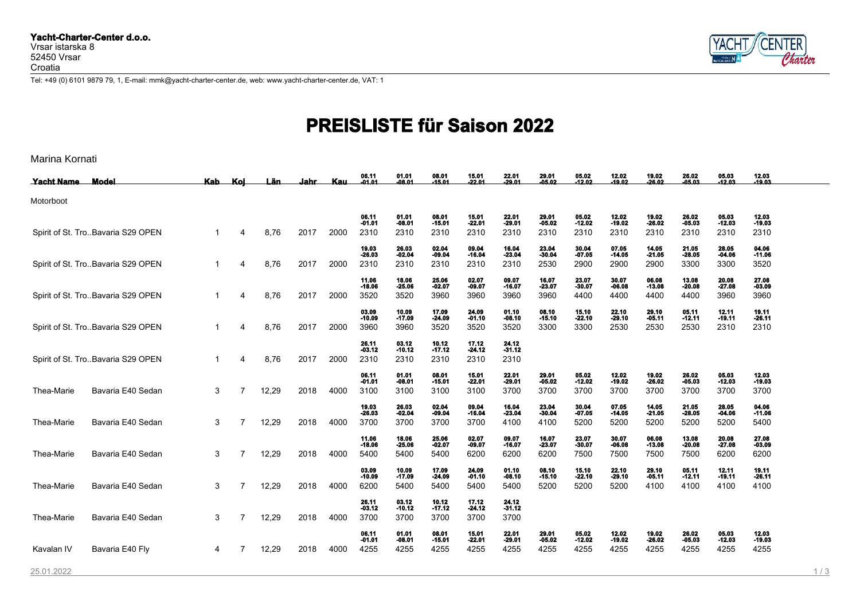

Tel: +49 (0) 6101 9879 79, 1, E-mail: mmk@yacht-charter-center.de, web: www.yacht-charter-center.de, VAT: 1

## **PREISLISTE für Saison 2022**

| Marina Kornati |  |  |  |  |
|----------------|--|--|--|--|
|----------------|--|--|--|--|

| <b>Yacht Name</b> | <b>Model</b>                      | Kab_ | Koi | Län.  | Jahr | <b>Kau</b> | 06.11<br>-01.01           | 01.01<br>$-08.01$               | 08.01<br>$-15.01$         | 15.01<br>$-22.01$         | 22.01<br>$-29.01$               | 29.01<br>$-05.02$         | 05.02<br>$-12.02$         | 12.02<br>$-19.02$         | 19.02<br>$-26.02$         | 26.02<br>$-05.03$         | 05.03<br>$-12.03$         | 12.03<br>$-19.03$         |
|-------------------|-----------------------------------|------|-----|-------|------|------------|---------------------------|---------------------------------|---------------------------|---------------------------|---------------------------------|---------------------------|---------------------------|---------------------------|---------------------------|---------------------------|---------------------------|---------------------------|
| Motorboot         |                                   |      |     |       |      |            |                           |                                 |                           |                           |                                 |                           |                           |                           |                           |                           |                           |                           |
|                   | Spirit of St. TroBavaria S29 OPEN |      | 4   | 8,76  | 2017 | 2000       | 06.11<br>$-01.01$<br>2310 | 01.01<br>-08.01<br>2310         | 08.01<br>$-15.01$<br>2310 | 15.01<br>$-22.01$<br>2310 | 22.01<br>-29.01<br>2310         | 29.01<br>$-05.02$<br>2310 | 05.02<br>$-12.02$<br>2310 | 12.02<br>-19.02<br>2310   | 19.02<br>$-26.02$<br>2310 | 26.02<br>$-05.03$<br>2310 | 05.03<br>$-12.03$<br>2310 | 12.03<br>$-19.03$<br>2310 |
|                   | Spirit of St. TroBavaria S29 OPEN |      | 4   | 8,76  | 2017 | 2000       | 19.03<br>$-26.03$<br>2310 | 26.03<br>$-02.04$<br>2310       | 02.04<br>$-09.04$<br>2310 | 09.04<br>$-16.04$<br>2310 | <b>16.04<br/>-23.04</b><br>2310 | 23.04<br>$-30.04$<br>2530 | 30.04<br>$-07.05$<br>2900 | 07.05<br>-14.05<br>2900   | 14.05<br>$-21.05$<br>2900 | 21.05<br>$-28.05$<br>3300 | 28.05<br>$-04.06$<br>3300 | 04.06<br>$-11.06$<br>3520 |
|                   | Spirit of St. TroBavaria S29 OPEN |      | 4   | 8,76  | 2017 | 2000       | 11.06<br>$-18.06$<br>3520 | 18.06<br>$-25.06$<br>3520       | 25.06<br>$-02.07$<br>3960 | 02.07<br>$-09.07$<br>3960 | 09.07<br>$-16.07$<br>3960       | 16.07<br>$-23.07$<br>3960 | 23.07<br>$-30.07$<br>4400 | 30.07<br>-06.08<br>4400   | 06.08<br>$-13.08$<br>4400 | 13.08<br>$-20.08$<br>4400 | 20.08<br>$-27.08$<br>3960 | 27.08<br>$-03.09$<br>3960 |
|                   | Spirit of St. TroBavaria S29 OPEN |      | 4   | 8,76  | 2017 | 2000       | 03.09<br>$-10.09$<br>3960 | 10.09<br>$-17.09$<br>3960       | 17.09<br>$-24.09$<br>3520 | 24.09<br>$-01.10$<br>3520 | 01.10<br>$-08.10$<br>3520       | 08.10<br>$-15.10$<br>3300 | 15.10<br>$-22.10$<br>3300 | 22.10<br>-29.10<br>2530   | 29.10<br>$-05.11$<br>2530 | 05.11<br>$-12.11$<br>2530 | 12.11<br>$-19.11$<br>2310 | 19.11<br>$-26.11$<br>2310 |
|                   | Spirit of St. TroBavaria S29 OPEN |      | 4   | 8,76  | 2017 | 2000       | 26.11<br>$-03.12$<br>2310 | 03.12<br>-10.12<br>2310         | 10.12<br>$-17.12$<br>2310 | 17.12<br>$-24.12$<br>2310 | 24.12<br>-31.12<br>2310         |                           |                           |                           |                           |                           |                           |                           |
| Thea-Marie        | Bavaria E40 Sedan                 | 3    | 7   | 12,29 | 2018 | 4000       | 06.11<br>$-01.01$<br>3100 | 01.01<br>-08.01<br>3100         | 08.01<br>$-15.01$<br>3100 | 15.01<br>$-22.01$<br>3100 | 22.01<br>-29.01<br>3700         | 29.01<br>$-05.02$<br>3700 | 05.02<br>$-12.02$<br>3700 | 12.02<br>-19.02<br>3700   | 19.02<br>-26.02<br>3700   | 26.02<br>$-05.03$<br>3700 | 05.03<br>$-12.03$<br>3700 | 12.03<br>$-19.03$<br>3700 |
| Thea-Marie        | Bavaria E40 Sedan                 | 3    | 7   | 12,29 | 2018 | 4000       | 19.03<br>$-26.03$<br>3700 | <b>26.03<br/>-02.04</b><br>3700 | 02.04<br>$-09.04$<br>3700 | 09.04<br>$-16.04$<br>3700 | 16.04<br>-23.04<br>4100         | 23.04<br>$-30.04$<br>4100 | 30.04<br>$-07.05$<br>5200 | 07.05<br>-14.05<br>5200   | 14.05<br>$-21.05$<br>5200 | 21.05<br>$-28.05$<br>5200 | 28.05<br>$-04.06$<br>5200 | 04.06<br>$-11.06$<br>5400 |
| Thea-Marie        | Bavaria E40 Sedan                 | 3    | 7   | 12,29 | 2018 | 4000       | 11.06<br>$-18.06$<br>5400 | 18.06<br>$-25.06$<br>5400       | 25.06<br>$-02.07$<br>5400 | 02.07<br>$-09.07$<br>6200 | 09.07<br>$-16.07$<br>6200       | 16.07<br>$-23.07$<br>6200 | 23.07<br>$-30.07$<br>7500 | 30.07<br>-06.08<br>7500   | 06.08<br>$-13.08$<br>7500 | 13.08<br>$-20.08$<br>7500 | 20.08<br>$-27.08$<br>6200 | 27.08<br>$-03.09$<br>6200 |
| Thea-Marie        | Bavaria E40 Sedan                 | 3    | 7   | 12,29 | 2018 | 4000       | 03.09<br>$-10.09$<br>6200 | 10.09<br>-17.09<br>5400         | 17.09<br>$-24.09$<br>5400 | 24.09<br>$-01.10$<br>5400 | 01.10<br>-08.10<br>5400         | 08.10<br>$-15.10$<br>5200 | 15.10<br>$-22.10$<br>5200 | 22.10<br>-29.10<br>5200   | 29.10<br>$-05.11$<br>4100 | 05.11<br>$-12.11$<br>4100 | 12.11<br>$-19.11$<br>4100 | 19.11<br>$-26.11$<br>4100 |
| Thea-Marie        | Bavaria E40 Sedan                 | 3    | 7   | 12,29 | 2018 | 4000       | 26.11<br>$-03.12$<br>3700 | 03.12<br>-10.12<br>3700         | 10.12<br>$-17.12$<br>3700 | 17.12<br>$-24.12$<br>3700 | 24.12<br>-31.12<br>3700         |                           |                           |                           |                           |                           |                           |                           |
| Kavalan IV        | Bavaria E40 Fly                   | 4    | 7   | 12,29 | 2018 | 4000       | 06.11<br>$-01.01$<br>4255 | 01.01<br>-08.01<br>4255         | 08.01<br>$-15.01$<br>4255 | 15.01<br>$-22.01$<br>4255 | 22.01<br>$-29.01$<br>4255       | 29.01<br>$-05.02$<br>4255 | 05.02<br>$-12.02$<br>4255 | 12.02<br>$-19.02$<br>4255 | 19.02<br>$-26.02$<br>4255 | 26.02<br>$-05.03$<br>4255 | 05.03<br>$-12.03$<br>4255 | 12.03<br>$-19.03$<br>4255 |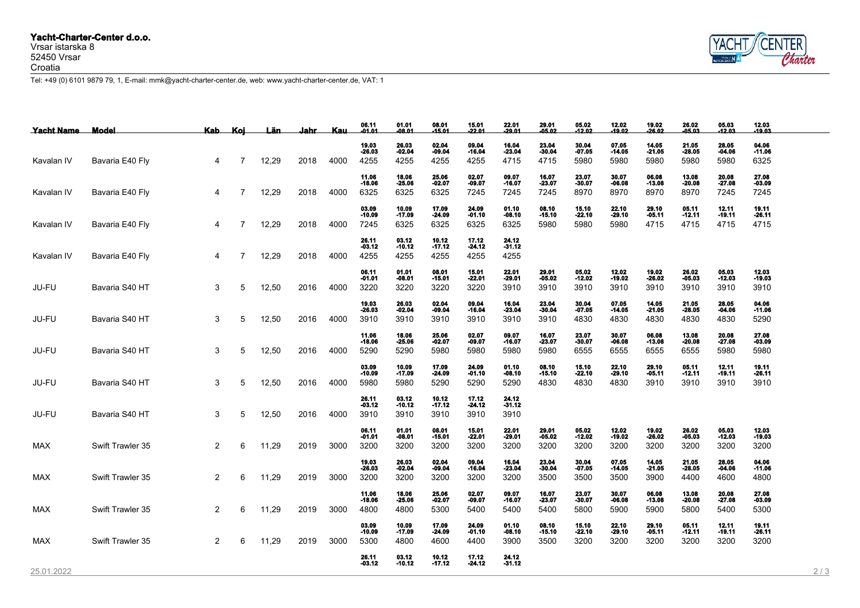## **Yacht-Charter-Center d.o.o.**

## Vrsar istarska 8 52450 Vrsar Croatia



Tel: +49 (0) 6101 9879 79, 1, E-mail: mmk@yacht-charter-center.de, web: www.yacht-charter-center.de, VAT: 1

| Yacht Name | Model            | Kab_ | Kol            | Län.  | Jahr | Kau. | 06.11<br>01.01            | 01.01<br>$-08.01$         | 08.01<br>-15.01           | 15.01<br>$-22.01$         | 22.01<br>$-29.01$         | 29.01<br>05.02            | 05.02<br>$-12.02$         | 12.02<br>$-19.02$         | 19.02<br>$-26.02$         | 26.02<br>$-05.03$         | 05.03<br>$-12.03$         | 12.03<br>-19.03           |     |
|------------|------------------|------|----------------|-------|------|------|---------------------------|---------------------------|---------------------------|---------------------------|---------------------------|---------------------------|---------------------------|---------------------------|---------------------------|---------------------------|---------------------------|---------------------------|-----|
| Kavalan IV | Bavaria E40 Fly  | 4    | 7              | 12,29 | 2018 | 4000 | 19.03<br>$-26.03$<br>4255 | 26.03<br>$-02.04$<br>4255 | 02.04<br>$-09.04$<br>4255 | 09.04<br>$-16.04$<br>4255 | 16.04<br>$-23.04$<br>4715 | 23.04<br>$-30.04$<br>4715 | 30.04<br>$-07.05$<br>5980 | 07.05<br>$-14.05$<br>5980 | 14.05<br>$-21.05$<br>5980 | 21.05<br>$-28.05$<br>5980 | 28.05<br>$-04.06$<br>5980 | 04.06<br>$-11.06$<br>6325 |     |
| Kavalan IV | Bavaria E40 Fly  | 4    | 7              | 12,29 | 2018 | 4000 | 11.06<br>$-18.06$<br>6325 | 18.06<br>$-25.06$<br>6325 | 25.06<br>$-02.07$<br>6325 | 02.07<br>$-09.07$<br>7245 | 09.07<br>$-16.07$<br>7245 | 16.07<br>$-23.07$<br>7245 | 23.07<br>$-30.07$<br>8970 | 30.07<br>$-06.08$<br>8970 | 06.08<br>$-13.08$<br>8970 | 13.08<br>$-20.08$<br>8970 | 20.08<br>$-27.08$<br>7245 | 27.08<br>$-03.09$<br>7245 |     |
| Kavalan IV | Bavaria E40 Fly  | 4    | $\overline{7}$ | 12,29 | 2018 | 4000 | 03.09<br>$-10.09$<br>7245 | 10.09<br>$-17.09$<br>6325 | 17.09<br>$-24.09$<br>6325 | 24.09<br>$-01.10$<br>6325 | 01.10<br>$-08.10$<br>6325 | 08.10<br>$-15.10$<br>5980 | 15.10<br>$-22.10$<br>5980 | 22.10<br>$-29.10$<br>5980 | 29.10<br>$-05.11$<br>4715 | 05.11<br>$-12.11$<br>4715 | 12.11<br>$-19.11$<br>4715 | 19.11<br>$-26.11$<br>4715 |     |
| Kavalan IV | Bavaria E40 Fly  | 4    | $\overline{7}$ | 12,29 | 2018 | 4000 | 26.11<br>-03.12<br>4255   | 03.12<br>$-10.12$<br>4255 | 10.12<br>$-17.12$<br>4255 | 17.12<br>$-24.12$<br>4255 | 24.12<br>$-31.12$<br>4255 |                           |                           |                           |                           |                           |                           |                           |     |
| JU-FU      | Bavaria S40 HT   | 3    | 5              | 12,50 | 2016 | 4000 | 06.11<br>$-01.01$<br>3220 | 01.01<br>$-08.01$<br>3220 | 08.01<br>$-15.01$<br>3220 | 15.01<br>$-22.01$<br>3220 | 22.01<br>$-29.01$<br>3910 | 29.01<br>$-05.02$<br>3910 | 05.02<br>$-12.02$<br>3910 | 12.02<br>$-19.02$<br>3910 | 19.02<br>$-26.02$<br>3910 | 26.02<br>$-05.03$<br>3910 | 05.03<br>$-12.03$<br>3910 | 12.03<br>$-19.03$<br>3910 |     |
| JU-FU      | Bavaria S40 HT   | 3    | 5              | 12,50 | 2016 | 4000 | 19.03<br>$-26.03$<br>3910 | 26.03<br>$-02.04$<br>3910 | 02.04<br>$-09.04$<br>3910 | 09.04<br>$-16.04$<br>3910 | 16.04<br>$-23.04$<br>3910 | 23.04<br>$-30.04$<br>3910 | 30.04<br>$-07.05$<br>4830 | 07.05<br>$-14.05$<br>4830 | 14.05<br>$-21.05$<br>4830 | 21.05<br>$-28.05$<br>4830 | 28.05<br>-04.06<br>4830   | 04.06<br>$-11.06$<br>5290 |     |
| JU-FU      | Bavaria S40 HT   | 3    | 5              | 12,50 | 2016 | 4000 | 11.06<br>$-18.06$<br>5290 | 18.06<br>$-25.06$<br>5290 | 25.06<br>$-02.07$<br>5980 | 02.07<br>$-09.07$<br>5980 | 09.07<br>$-16.07$<br>5980 | 16.07<br>$-23.07$<br>5980 | 23.07<br>$-30.07$<br>6555 | 30.07<br>$-06.08$<br>6555 | 06.08<br>$-13.08$<br>6555 | 13.08<br>$-20.08$<br>6555 | 20.08<br>$-27.08$<br>5980 | 27.08<br>$-03.09$<br>5980 |     |
| JU-FU      | Bavaria S40 HT   | 3    | 5              | 12,50 | 2016 | 4000 | 03.09<br>$-10.09$<br>5980 | 10.09<br>$-17.09$<br>5980 | 17.09<br>$-24.09$<br>5290 | 24.09<br>$-01.10$<br>5290 | 01.10<br>$-08.10$<br>5290 | 08.10<br>$-15.10$<br>4830 | 15.10<br>$-22.10$<br>4830 | 22.10<br>$-29.10$<br>4830 | 29.10<br>-05.11<br>3910   | 05.11<br>$-12.11$<br>3910 | 12.11<br>$-19.11$<br>3910 | 19.11<br>$-26.11$<br>3910 |     |
| JU-FU      | Bavaria S40 HT   | 3    | 5              | 12,50 | 2016 | 4000 | 26.11<br>-03.12<br>3910   | 03.12<br>$-10.12$<br>3910 | 10.12<br>$-17.12$<br>3910 | 17.12<br>$-24.12$<br>3910 | 24.12<br>$-31.12$<br>3910 |                           |                           |                           |                           |                           |                           |                           |     |
| MAX        | Swift Trawler 35 | 2    | 6              | 11,29 | 2019 | 3000 | 06.11<br>-01.01<br>3200   | 01.01<br>$-08.01$<br>3200 | 08.01<br>-15.01<br>3200   | 15.01<br>$-22.01$<br>3200 | 22.01<br>-29.01<br>3200   | 29.01<br>$-05.02$<br>3200 | 05.02<br>$-12.02$<br>3200 | 12.02<br>$-19.02$<br>3200 | 19.02<br>$-26.02$<br>3200 | 26.02<br>-05.03<br>3200   | 05.03<br>$-12.03$<br>3200 | 12.03<br>$-19.03$<br>3200 |     |
| <b>MAX</b> | Swift Trawler 35 | 2    | 6              | 11,29 | 2019 | 3000 | 19.03<br>$-26.03$<br>3200 | 26.03<br>$-02.04$<br>3200 | 02.04<br>$-09.04$<br>3200 | 09.04<br>$-16.04$<br>3200 | 16.04<br>$-23.04$<br>3200 | 23.04<br>$-30.04$<br>3500 | 30.04<br>$-07.05$<br>3500 | 07.05<br>$-14.05$<br>3500 | 14.05<br>$-21.05$<br>3900 | 21.05<br>$-28.05$<br>4400 | 28.05<br>$-04.06$<br>4600 | 04.06<br>$-11.06$<br>4800 |     |
| MAX        | Swift Trawler 35 | 2    | 6              | 11,29 | 2019 | 3000 | 11.06<br>$-18.06$<br>4800 | 18.06<br>$-25.06$<br>4800 | 25.06<br>$-02.07$<br>5300 | 02.07<br>-09.07<br>5400   | 09.07<br>$-16.07$<br>5400 | 16.07<br>$-23.07$<br>5400 | 23.07<br>$-30.07$<br>5800 | 30.07<br>$-06.08$<br>5900 | 06.08<br>$-13.08$<br>5900 | 13.08<br>$-20.08$<br>5800 | 20.08<br>$-27.08$<br>5400 | 27.08<br>$-03.09$<br>5300 |     |
| MAX        | Swift Trawler 35 | 2    | 6              | 11,29 | 2019 | 3000 | 03.09<br>$-10.09$<br>5300 | 10.09<br>$-17.09$<br>4800 | 17.09<br>$-24.09$<br>4600 | 24.09<br>$-01.10$<br>4400 | 01.10<br>$-08.10$<br>3900 | 08.10<br>$-15.10$<br>3500 | 15.10<br>-22.10<br>3200   | 22.10<br>$-29.10$<br>3200 | 29.10<br>-05.11<br>3200   | 05.11<br>$-12.11$<br>3200 | 12.11<br>$-19.11$<br>3200 | 19.11<br>$-26.11$<br>3200 |     |
| 25.01.2022 |                  |      |                |       |      |      | 26.11<br>-03.12           | 03.12<br>$-10.12$         | 10.12<br>$-17.12$         | 17.12<br>$-24.12$         | 24.12<br>$-31.12$         |                           |                           |                           |                           |                           |                           |                           | 2/3 |